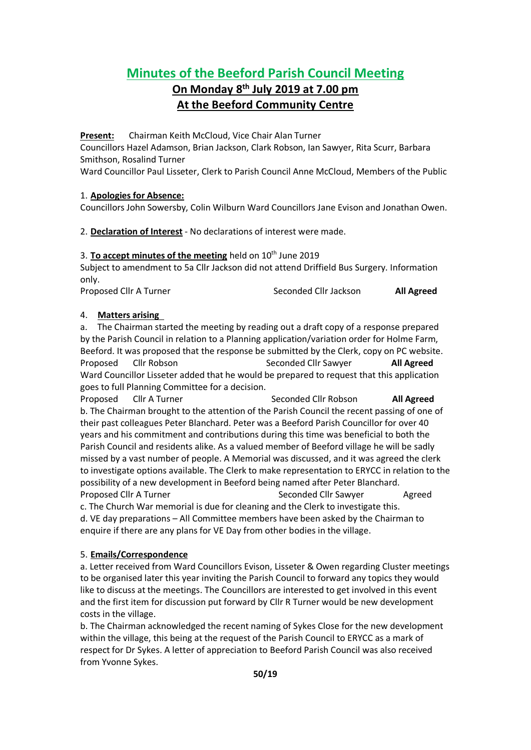# **Minutes of the Beeford Parish Council Meeting**

## **On Monday 8 th July 2019 at 7.00 pm At the Beeford Community Centre**

**Present:** Chairman Keith McCloud, Vice Chair Alan Turner

Councillors Hazel Adamson, Brian Jackson, Clark Robson, Ian Sawyer, Rita Scurr, Barbara Smithson, Rosalind Turner

Ward Councillor Paul Lisseter, Clerk to Parish Council Anne McCloud, Members of the Public

## 1. **Apologies for Absence:**

Councillors John Sowersby, Colin Wilburn Ward Councillors Jane Evison and Jonathan Owen.

2. **Declaration of Interest** - No declarations of interest were made.

## 3. **To accept minutes of the meeting** held on 10<sup>th</sup> June 2019

Subject to amendment to 5a Cllr Jackson did not attend Driffield Bus Surgery. Information only.

Proposed Cllr A Turner Seconded Cllr Jackson **All Agreed**

## 4. **Matters arising**

a. The Chairman started the meeting by reading out a draft copy of a response prepared by the Parish Council in relation to a Planning application/variation order for Holme Farm, Beeford. It was proposed that the response be submitted by the Clerk, copy on PC website. Proposed Cllr Robson Seconded Cllr Sawyer **All Agreed** Ward Councillor Lisseter added that he would be prepared to request that this application goes to full Planning Committee for a decision.

Proposed Cllr A Turner Seconded Cllr Robson **All Agreed** b. The Chairman brought to the attention of the Parish Council the recent passing of one of their past colleagues Peter Blanchard. Peter was a Beeford Parish Councillor for over 40 years and his commitment and contributions during this time was beneficial to both the Parish Council and residents alike. As a valued member of Beeford village he will be sadly missed by a vast number of people. A Memorial was discussed, and it was agreed the clerk to investigate options available. The Clerk to make representation to ERYCC in relation to the possibility of a new development in Beeford being named after Peter Blanchard. Proposed Cllr A Turner Seconded Cllr Sawyer Agreed c. The Church War memorial is due for cleaning and the Clerk to investigate this. d. VE day preparations – All Committee members have been asked by the Chairman to enquire if there are any plans for VE Day from other bodies in the village.

## 5. **Emails/Correspondence**

a. Letter received from Ward Councillors Evison, Lisseter & Owen regarding Cluster meetings to be organised later this year inviting the Parish Council to forward any topics they would like to discuss at the meetings. The Councillors are interested to get involved in this event and the first item for discussion put forward by Cllr R Turner would be new development costs in the village.

b. The Chairman acknowledged the recent naming of Sykes Close for the new development within the village, this being at the request of the Parish Council to ERYCC as a mark of respect for Dr Sykes. A letter of appreciation to Beeford Parish Council was also received from Yvonne Sykes.